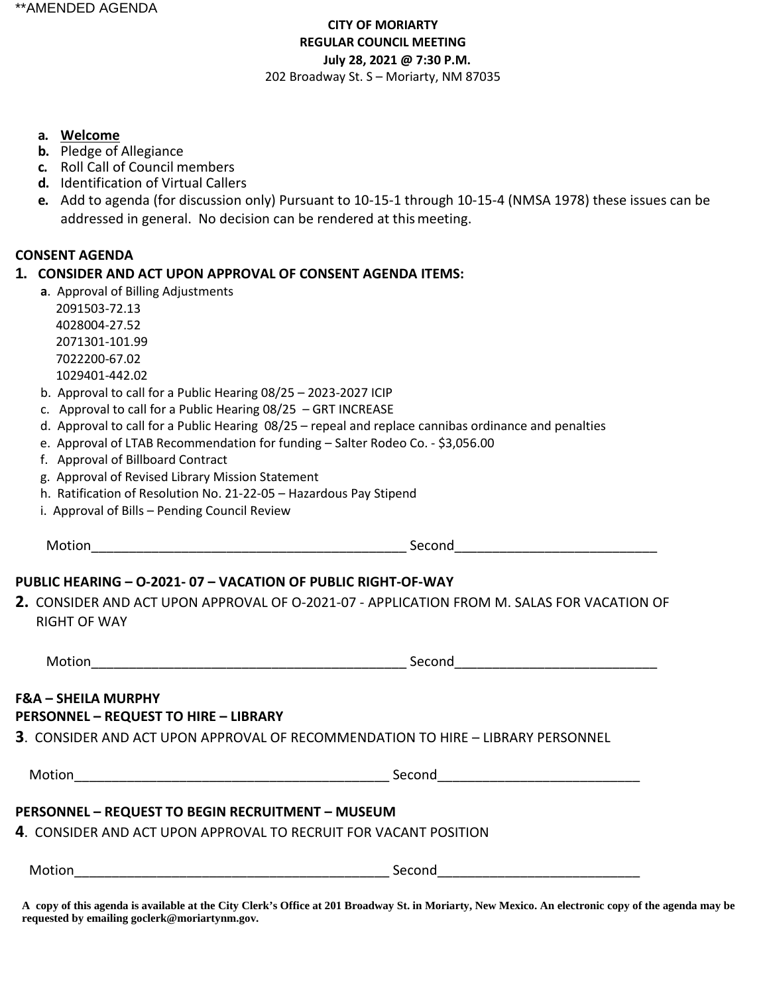## **CITY OF MORIARTY REGULAR COUNCIL MEETING July 28, 2021 @ 7:30 P.M.**  202 Broadway St. S – Moriarty, NM 87035

### **a. Welcome**

- **b.** Pledge of Allegiance
- **c.** Roll Call of Council members
- **d.** Identification of Virtual Callers
- **e.** Add to agenda (for discussion only) Pursuant to 10-15-1 through 10-15-4 (NMSA 1978) these issues can be addressed in general. No decision can be rendered at thismeeting.

### **CONSENT AGENDA**

### **1. CONSIDER AND ACT UPON APPROVAL OF CONSENT AGENDA ITEMS:**

 **a**. Approval of Billing Adjustments

 2091503-72.13 4028004-27.52 2071301-101.99 7022200-67.02 1029401-442.02

- b. Approval to call for a Public Hearing 08/25 2023-2027 ICIP
- c. Approval to call for a Public Hearing 08/25 GRT INCREASE
- d. Approval to call for a Public Hearing 08/25 repeal and replace cannibas ordinance and penalties
- e. Approval of LTAB Recommendation for funding Salter Rodeo Co. \$3,056.00
- f. Approval of Billboard Contract
- g. Approval of Revised Library Mission Statement
- h. Ratification of Resolution No. 21-22-05 Hazardous Pay Stipend
- i. Approval of Bills Pending Council Review

Motion and the second second second second second second second second second second second second second second second second second second second second second second second second second second second second second seco

## **PUBLIC HEARING – O-2021- 07 – VACATION OF PUBLIC RIGHT-OF-WAY**

**2.** CONSIDER AND ACT UPON APPROVAL OF O-2021-07 - APPLICATION FROM M. SALAS FOR VACATION OF RIGHT OF WAY

Motion\_\_\_\_\_\_\_\_\_\_\_\_\_\_\_\_\_\_\_\_\_\_\_\_\_\_\_\_\_\_\_\_\_\_\_\_\_\_\_\_\_\_ Second\_\_\_\_\_\_\_\_\_\_\_\_\_\_\_\_\_\_\_\_\_\_\_\_\_\_\_

### **F&A – SHEILA MURPHY PERSONNEL – REQUEST TO HIRE – LIBRARY**

**3**. CONSIDER AND ACT UPON APPROVAL OF RECOMMENDATION TO HIRE – LIBRARY PERSONNEL

Motion and the second second second second second second second second second second second second second second second second second second second second second second second second second second second second second seco

## **PERSONNEL – REQUEST TO BEGIN RECRUITMENT – MUSEUM**

**4**. CONSIDER AND ACT UPON APPROVAL TO RECRUIT FOR VACANT POSITION

 $\mathsf{Second}$ 

**A copy of this agenda is available at the City Clerk's Office at 201 Broadway St. in Moriarty, New Mexico. An electronic copy of the agenda may be requested by emailing goclerk@moriartynm.gov.**